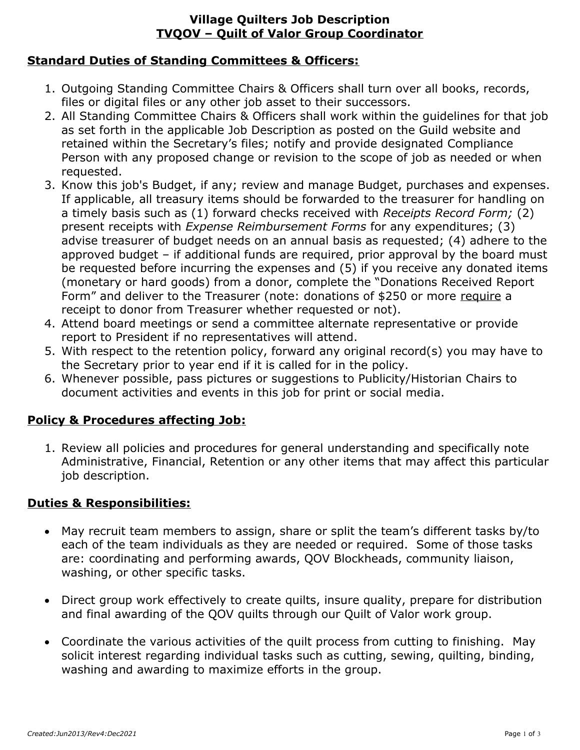## **Village Quilters Job Description TVQOV – Quilt of Valor Group Coordinator**

# **Standard Duties of Standing Committees & Officers:**

- 1. Outgoing Standing Committee Chairs & Officers shall turn over all books, records, files or digital files or any other job asset to their successors.
- 2. All Standing Committee Chairs & Officers shall work within the guidelines for that job as set forth in the applicable Job Description as posted on the Guild website and retained within the Secretary's files; notify and provide designated Compliance Person with any proposed change or revision to the scope of job as needed or when requested.
- 3. Know this job's Budget, if any; review and manage Budget, purchases and expenses. If applicable, all treasury items should be forwarded to the treasurer for handling on a timely basis such as (1) forward checks received with *Receipts Record Form;* (2) present receipts with *Expense Reimbursement Forms* for any expenditures; (3) advise treasurer of budget needs on an annual basis as requested; (4) adhere to the approved budget – if additional funds are required, prior approval by the board must be requested before incurring the expenses and (5) if you receive any donated items (monetary or hard goods) from a donor, complete the "Donations Received Report Form" and deliver to the Treasurer (note: donations of \$250 or more require a receipt to donor from Treasurer whether requested or not).
- 4. Attend board meetings or send a committee alternate representative or provide report to President if no representatives will attend.
- 5. With respect to the retention policy, forward any original record(s) you may have to the Secretary prior to year end if it is called for in the policy.
- 6. Whenever possible, pass pictures or suggestions to Publicity/Historian Chairs to document activities and events in this job for print or social media.

# **Policy & Procedures affecting Job:**

1. Review all policies and procedures for general understanding and specifically note Administrative, Financial, Retention or any other items that may affect this particular job description.

#### **Duties & Responsibilities:**

- May recruit team members to assign, share or split the team's different tasks by/to each of the team individuals as they are needed or required. Some of those tasks are: coordinating and performing awards, QOV Blockheads, community liaison, washing, or other specific tasks.
- Direct group work effectively to create quilts, insure quality, prepare for distribution and final awarding of the QOV quilts through our Quilt of Valor work group.
- Coordinate the various activities of the quilt process from cutting to finishing. May solicit interest regarding individual tasks such as cutting, sewing, quilting, binding, washing and awarding to maximize efforts in the group.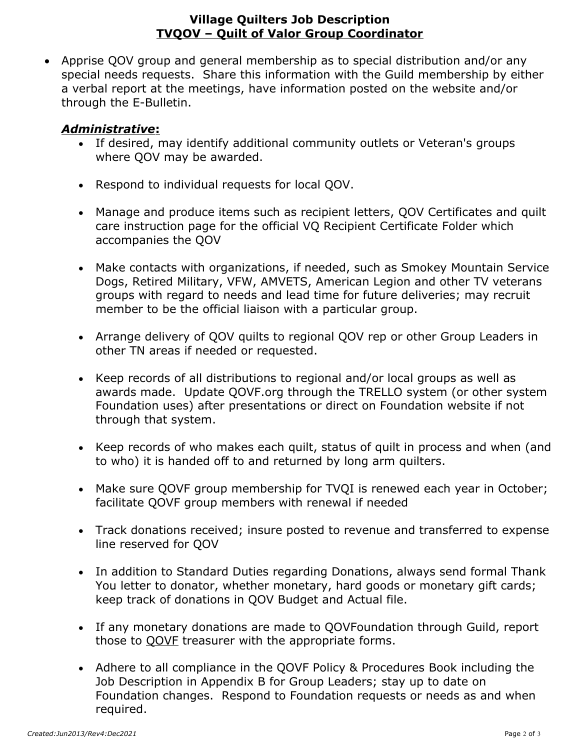#### **Village Quilters Job Description TVQOV – Quilt of Valor Group Coordinator**

 Apprise QOV group and general membership as to special distribution and/or any special needs requests. Share this information with the Guild membership by either a verbal report at the meetings, have information posted on the website and/or through the E-Bulletin.

### *Administrative***:**

- If desired, may identify additional community outlets or Veteran's groups where QOV may be awarded.
- Respond to individual requests for local QOV.
- Manage and produce items such as recipient letters, QOV Certificates and quilt care instruction page for the official VQ Recipient Certificate Folder which accompanies the QOV
- Make contacts with organizations, if needed, such as Smokey Mountain Service Dogs, Retired Military, VFW, AMVETS, American Legion and other TV veterans groups with regard to needs and lead time for future deliveries; may recruit member to be the official liaison with a particular group.
- Arrange delivery of QOV quilts to regional QOV rep or other Group Leaders in other TN areas if needed or requested.
- Keep records of all distributions to regional and/or local groups as well as awards made. Update QOVF.org through the TRELLO system (or other system Foundation uses) after presentations or direct on Foundation website if not through that system.
- Keep records of who makes each quilt, status of quilt in process and when (and to who) it is handed off to and returned by long arm quilters.
- Make sure QOVF group membership for TVQI is renewed each year in October; facilitate QOVF group members with renewal if needed
- Track donations received; insure posted to revenue and transferred to expense line reserved for QOV
- In addition to Standard Duties regarding Donations, always send formal Thank You letter to donator, whether monetary, hard goods or monetary gift cards; keep track of donations in QOV Budget and Actual file.
- If any monetary donations are made to QOVFoundation through Guild, report those to QOVF treasurer with the appropriate forms.
- Adhere to all compliance in the QOVF Policy & Procedures Book including the Job Description in Appendix B for Group Leaders; stay up to date on Foundation changes. Respond to Foundation requests or needs as and when required.